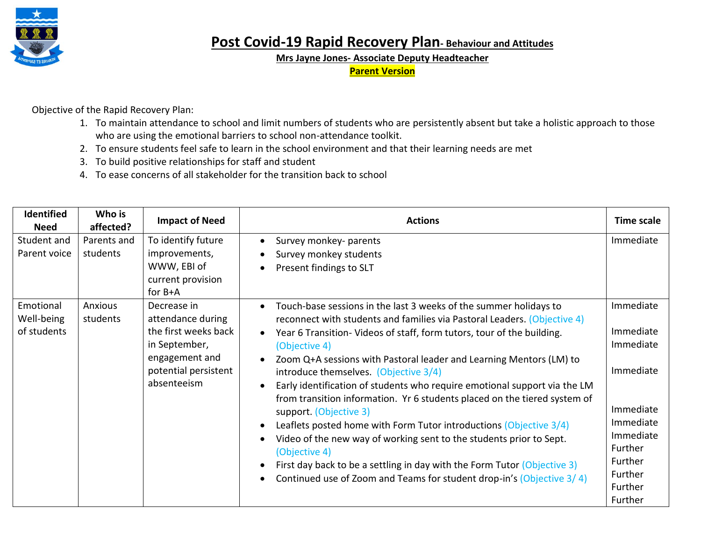

**Post Covid-19 Rapid Recovery Plan- Behaviour and Attitudes**

**Mrs Jayne Jones- Associate Deputy Headteacher**

**Parent Version**

Objective of the Rapid Recovery Plan:

- 1. To maintain attendance to school and limit numbers of students who are persistently absent but take a holistic approach to those who are using the emotional barriers to school non-attendance toolkit.
- 2. To ensure students feel safe to learn in the school environment and that their learning needs are met
- 3. To build positive relationships for staff and student
- 4. To ease concerns of all stakeholder for the transition back to school

| Identified<br><b>Need</b>              | Who is<br>affected?     | <b>Impact of Need</b>                                                                                                              | <b>Actions</b>                                                                                                                                                                                                                                                                                                                                                                                                                                                                                                                                                                                                                                                                                                                                                                                                                                                                                                                               | Time scale                                                                                                                                     |
|----------------------------------------|-------------------------|------------------------------------------------------------------------------------------------------------------------------------|----------------------------------------------------------------------------------------------------------------------------------------------------------------------------------------------------------------------------------------------------------------------------------------------------------------------------------------------------------------------------------------------------------------------------------------------------------------------------------------------------------------------------------------------------------------------------------------------------------------------------------------------------------------------------------------------------------------------------------------------------------------------------------------------------------------------------------------------------------------------------------------------------------------------------------------------|------------------------------------------------------------------------------------------------------------------------------------------------|
| Student and<br>Parent voice            | Parents and<br>students | To identify future<br>improvements,<br>WWW, EBI of<br>current provision<br>for $B+A$                                               | Survey monkey- parents<br>$\bullet$<br>Survey monkey students<br>Present findings to SLT<br>$\bullet$                                                                                                                                                                                                                                                                                                                                                                                                                                                                                                                                                                                                                                                                                                                                                                                                                                        | Immediate                                                                                                                                      |
| Emotional<br>Well-being<br>of students | Anxious<br>students     | Decrease in<br>attendance during<br>the first weeks back<br>in September,<br>engagement and<br>potential persistent<br>absenteeism | Touch-base sessions in the last 3 weeks of the summer holidays to<br>$\bullet$<br>reconnect with students and families via Pastoral Leaders. (Objective 4)<br>Year 6 Transition-Videos of staff, form tutors, tour of the building.<br>$\bullet$<br>(Objective 4)<br>Zoom Q+A sessions with Pastoral leader and Learning Mentors (LM) to<br>$\bullet$<br>introduce themselves. (Objective 3/4)<br>Early identification of students who require emotional support via the LM<br>$\bullet$<br>from transition information. Yr 6 students placed on the tiered system of<br>support. (Objective 3)<br>Leaflets posted home with Form Tutor introductions (Objective 3/4)<br>$\bullet$<br>Video of the new way of working sent to the students prior to Sept.<br>(Objective 4)<br>First day back to be a settling in day with the Form Tutor (Objective 3)<br>$\bullet$<br>Continued use of Zoom and Teams for student drop-in's (Objective 3/4) | Immediate<br>Immediate<br>Immediate<br>Immediate<br>Immediate<br>Immediate<br>Immediate<br>Further<br>Further<br>Further<br>Further<br>Further |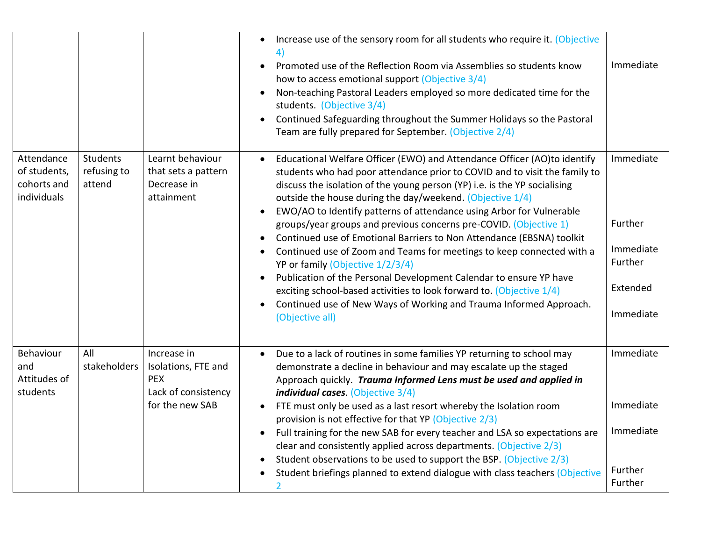|                                                          |                                          |                                                                                            | Increase use of the sensory room for all students who require it. (Objective<br>$\bullet$<br>Promoted use of the Reflection Room via Assemblies so students know<br>$\bullet$<br>how to access emotional support (Objective 3/4)<br>Non-teaching Pastoral Leaders employed so more dedicated time for the<br>students. (Objective 3/4)<br>Continued Safeguarding throughout the Summer Holidays so the Pastoral<br>$\bullet$<br>Team are fully prepared for September. (Objective 2/4)                                                                                                                                                                                                                                                                                                                                                                                                               | Immediate                                                             |
|----------------------------------------------------------|------------------------------------------|--------------------------------------------------------------------------------------------|------------------------------------------------------------------------------------------------------------------------------------------------------------------------------------------------------------------------------------------------------------------------------------------------------------------------------------------------------------------------------------------------------------------------------------------------------------------------------------------------------------------------------------------------------------------------------------------------------------------------------------------------------------------------------------------------------------------------------------------------------------------------------------------------------------------------------------------------------------------------------------------------------|-----------------------------------------------------------------------|
| Attendance<br>of students,<br>cohorts and<br>individuals | <b>Students</b><br>refusing to<br>attend | Learnt behaviour<br>that sets a pattern<br>Decrease in<br>attainment                       | Educational Welfare Officer (EWO) and Attendance Officer (AO)to identify<br>students who had poor attendance prior to COVID and to visit the family to<br>discuss the isolation of the young person (YP) i.e. is the YP socialising<br>outside the house during the day/weekend. (Objective 1/4)<br>EWO/AO to Identify patterns of attendance using Arbor for Vulnerable<br>$\bullet$<br>groups/year groups and previous concerns pre-COVID. (Objective 1)<br>Continued use of Emotional Barriers to Non Attendance (EBSNA) toolkit<br>Continued use of Zoom and Teams for meetings to keep connected with a<br>YP or family (Objective 1/2/3/4)<br>Publication of the Personal Development Calendar to ensure YP have<br>exciting school-based activities to look forward to. (Objective 1/4)<br>Continued use of New Ways of Working and Trauma Informed Approach.<br>$\bullet$<br>(Objective all) | Immediate<br>Further<br>Immediate<br>Further<br>Extended<br>Immediate |
| Behaviour<br>and<br>Attitudes of<br>students             | All<br>stakeholders                      | Increase in<br>Isolations, FTE and<br><b>PEX</b><br>Lack of consistency<br>for the new SAB | Due to a lack of routines in some families YP returning to school may<br>$\bullet$<br>demonstrate a decline in behaviour and may escalate up the staged<br>Approach quickly. Trauma Informed Lens must be used and applied in<br>individual cases. (Objective 3/4)<br>FTE must only be used as a last resort whereby the Isolation room<br>provision is not effective for that YP (Objective 2/3)<br>Full training for the new SAB for every teacher and LSA so expectations are<br>$\bullet$<br>clear and consistently applied across departments. (Objective 2/3)<br>Student observations to be used to support the BSP. (Objective 2/3)<br>Student briefings planned to extend dialogue with class teachers (Objective<br>2                                                                                                                                                                       | Immediate<br>Immediate<br>Immediate<br>Further<br>Further             |